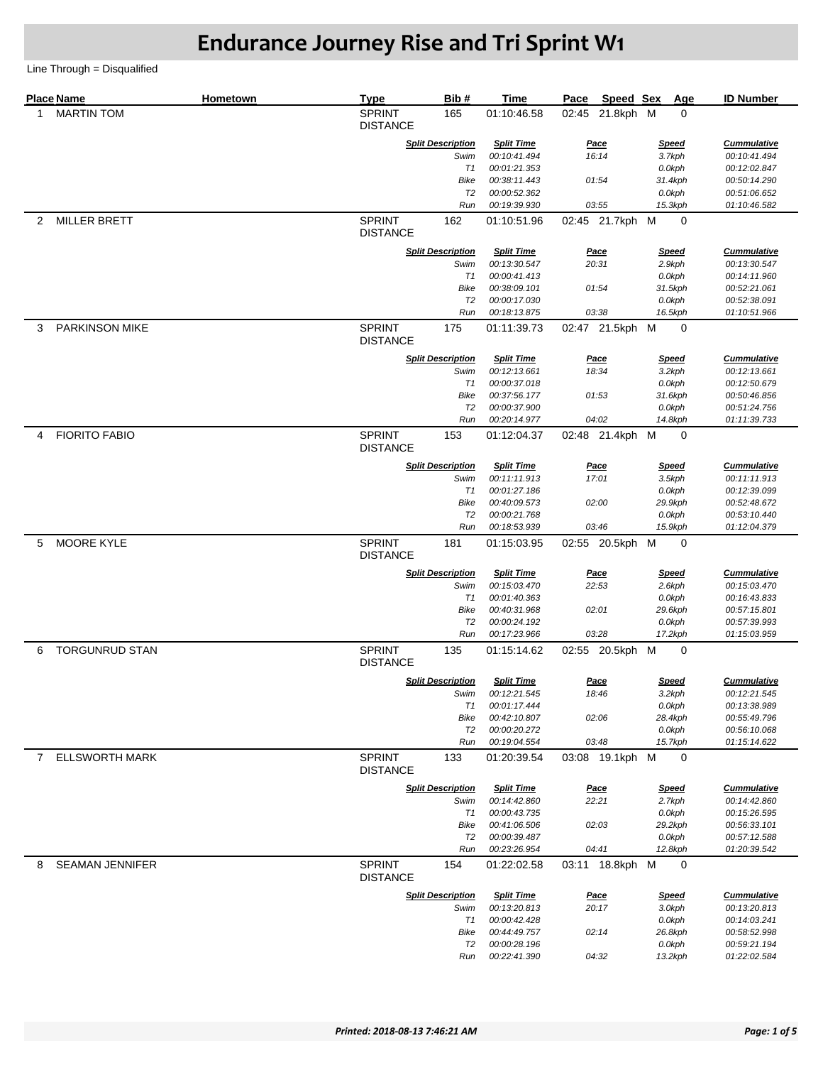|                | <b>Place Name</b>     | Hometown | <b>Type</b>                      | Bib#                     | <b>Time</b>                  | Pace  | Speed Sex       | Age               | <b>ID Number</b>             |
|----------------|-----------------------|----------|----------------------------------|--------------------------|------------------------------|-------|-----------------|-------------------|------------------------------|
| 1              | <b>MARTIN TOM</b>     |          | <b>SPRINT</b><br><b>DISTANCE</b> | 165                      | 01:10:46.58                  |       | 02:45 21.8kph M | 0                 |                              |
|                |                       |          |                                  | <b>Split Description</b> | <b>Split Time</b>            |       | <u>Pace</u>     | <b>Speed</b>      | <b>Cummulative</b>           |
|                |                       |          |                                  | Swim                     | 00:10:41.494                 |       | 16:14           | 3.7kph            | 00:10:41.494                 |
|                |                       |          |                                  | T1                       | 00:01:21.353                 |       |                 | 0.0kph            | 00:12:02.847                 |
|                |                       |          |                                  | <b>Bike</b>              | 00:38:11.443                 |       | 01:54           | 31.4kph           | 00:50:14.290                 |
|                |                       |          |                                  | T2                       | 00:00:52.362                 |       |                 | 0.0kph            | 00:51:06.652                 |
|                |                       |          |                                  | Run                      | 00:19:39.930                 |       | 03:55           | 15.3kph           | 01:10:46.582                 |
| $\overline{2}$ | <b>MILLER BRETT</b>   |          | <b>SPRINT</b><br><b>DISTANCE</b> | 162                      | 01:10:51.96                  |       | 02:45 21.7kph M | $\mathbf 0$       |                              |
|                |                       |          |                                  | <b>Split Description</b> | <b>Split Time</b>            |       | <b>Pace</b>     | <b>Speed</b>      | <b>Cummulative</b>           |
|                |                       |          |                                  | Swim                     | 00:13:30.547                 |       | 20:31           | 2.9kph            | 00:13:30.547                 |
|                |                       |          |                                  | T1                       | 00:00:41.413                 |       |                 | 0.0kph            | 00:14:11.960                 |
|                |                       |          |                                  | Bike                     | 00:38:09.101                 |       | 01:54           | 31.5kph           | 00:52:21.061                 |
|                |                       |          |                                  | T2<br>Run                | 00:00:17.030<br>00:18:13.875 |       | 03:38           | 0.0kph<br>16.5kph | 00:52:38.091<br>01:10:51.966 |
|                |                       |          | <b>SPRINT</b>                    |                          |                              |       |                 |                   |                              |
| 3              | <b>PARKINSON MIKE</b> |          | <b>DISTANCE</b>                  | 175                      | 01:11:39.73                  |       | 02:47 21.5kph M | 0                 |                              |
|                |                       |          |                                  | <b>Split Description</b> | <b>Split Time</b>            |       | <u>Pace</u>     | <b>Speed</b>      | <b>Cummulative</b>           |
|                |                       |          |                                  | Swim                     | 00:12:13.661                 |       | 18:34           | 3.2kph            | 00:12:13.661                 |
|                |                       |          |                                  | T1                       | 00:00:37.018                 |       |                 | 0.0kph            | 00:12:50.679                 |
|                |                       |          |                                  | Bike<br>T <sub>2</sub>   | 00:37:56.177<br>00:00:37.900 |       | 01:53           | 31.6kph           | 00:50:46.856<br>00:51:24.756 |
|                |                       |          |                                  | Run                      | 00:20:14.977                 |       | 04:02           | 0.0kph<br>14.8kph | 01:11:39.733                 |
| 4              | <b>FIORITO FABIO</b>  |          | <b>SPRINT</b>                    | 153                      | 01:12:04.37                  |       | 02:48 21.4kph M | 0                 |                              |
|                |                       |          | <b>DISTANCE</b>                  |                          |                              |       |                 |                   |                              |
|                |                       |          |                                  | <b>Split Description</b> | <b>Split Time</b>            |       | <u>Pace</u>     | <b>Speed</b>      | <b>Cummulative</b>           |
|                |                       |          |                                  | Swim                     | 00:11:11.913                 | 17:01 |                 | 3.5kph            | 00:11:11.913                 |
|                |                       |          |                                  | T1                       | 00:01:27.186                 |       |                 | 0.0kph            | 00:12:39.099                 |
|                |                       |          |                                  | Bike                     | 00:40:09.573                 |       | 02:00           | 29.9kph           | 00:52:48.672                 |
|                |                       |          |                                  | T2<br>Run                | 00:00:21.768<br>00:18:53.939 |       | 03:46           | 0.0kph<br>15.9kph | 00:53:10.440<br>01:12:04.379 |
| 5              | MOORE KYLE            |          | <b>SPRINT</b><br><b>DISTANCE</b> | 181                      | 01:15:03.95                  |       | 02:55 20.5kph M | $\mathbf 0$       |                              |
|                |                       |          |                                  |                          |                              |       |                 |                   |                              |
|                |                       |          |                                  | <b>Split Description</b> | <b>Split Time</b>            |       | Pace            | <b>Speed</b>      | <b>Cummulative</b>           |
|                |                       |          |                                  | Swim<br>T1               | 00:15:03.470<br>00:01:40.363 |       | 22:53           | 2.6kph<br>0.0kph  | 00:15:03.470<br>00:16:43.833 |
|                |                       |          |                                  | Bike                     | 00:40:31.968                 |       | 02:01           | 29.6kph           | 00:57:15.801                 |
|                |                       |          |                                  | T <sub>2</sub>           | 00:00:24.192                 |       |                 | 0.0kph            | 00:57:39.993                 |
|                |                       |          |                                  | Run                      | 00:17:23.966                 |       | 03:28           | 17.2kph           | 01:15:03.959                 |
| 6              | <b>TORGUNRUD STAN</b> |          | <b>SPRINT</b><br><b>DISTANCE</b> | 135                      | 01:15:14.62                  |       | 02:55 20.5kph M | 0                 |                              |
|                |                       |          |                                  | <b>Split Description</b> | <b>Split Time</b>            |       | <u>Pace</u>     | <b>Speed</b>      | <b>Cummulative</b>           |
|                |                       |          |                                  | Swim                     | 00:12:21.545                 |       | 18:46           | 3.2kph            | 00:12:21.545                 |
|                |                       |          |                                  | T1                       | 00:01:17.444                 |       |                 | 0.0kph            | 00:13:38.989                 |
|                |                       |          |                                  | Bike                     | 00:42:10.807                 |       | 02:06           | 28.4kph           | 00:55:49.796                 |
|                |                       |          |                                  | T <sub>2</sub>           | 00:00:20.272                 |       |                 | 0.0kph            | 00:56:10.068                 |
|                |                       |          |                                  | Run                      | 00:19:04.554                 |       | 03:48           | 15.7kph           | 01:15:14.622                 |
| $7^{\circ}$    | <b>ELLSWORTH MARK</b> |          | <b>SPRINT</b><br><b>DISTANCE</b> | 133                      | 01:20:39.54                  |       | 03:08 19.1kph M | 0                 |                              |
|                |                       |          |                                  | <b>Split Description</b> | <b>Split Time</b>            |       | <b>Pace</b>     | <b>Speed</b>      | <b>Cummulative</b>           |
|                |                       |          |                                  | Swim                     | 00:14:42.860                 |       | 22:21           | 2.7kph            | 00:14:42.860                 |
|                |                       |          |                                  | T1                       | 00:00:43.735                 |       |                 | 0.0kph            | 00:15:26.595                 |
|                |                       |          |                                  | Bike                     | 00:41:06.506                 |       | 02:03           | 29.2kph           | 00:56:33.101                 |
|                |                       |          |                                  | T2                       | 00:00:39.487                 |       |                 | 0.0kph            | 00:57:12.588                 |
|                |                       |          |                                  | Run                      | 00:23:26.954                 |       | 04:41           | 12.8kph           | 01:20:39.542                 |
| 8              | SEAMAN JENNIFER       |          | <b>SPRINT</b><br><b>DISTANCE</b> | 154                      | 01:22:02.58                  |       | 03:11 18.8kph M | 0                 |                              |
|                |                       |          |                                  | <b>Split Description</b> | <b>Split Time</b>            |       | <b>Pace</b>     | <b>Speed</b>      | <b>Cummulative</b>           |
|                |                       |          |                                  | Swim                     | 00:13:20.813                 |       | 20:17           | 3.0kph            | 00:13:20.813                 |
|                |                       |          |                                  | T1                       | 00:00:42.428                 |       |                 | 0.0kph            | 00:14:03.241                 |
|                |                       |          |                                  | Bike                     | 00:44:49.757                 |       | 02:14           | 26.8kph           | 00:58:52.998                 |
|                |                       |          |                                  | T2<br>Run                | 00:00:28.196<br>00:22:41.390 |       | 04:32           | 0.0kph<br>13.2kph | 00:59:21.194<br>01:22:02.584 |
|                |                       |          |                                  |                          |                              |       |                 |                   |                              |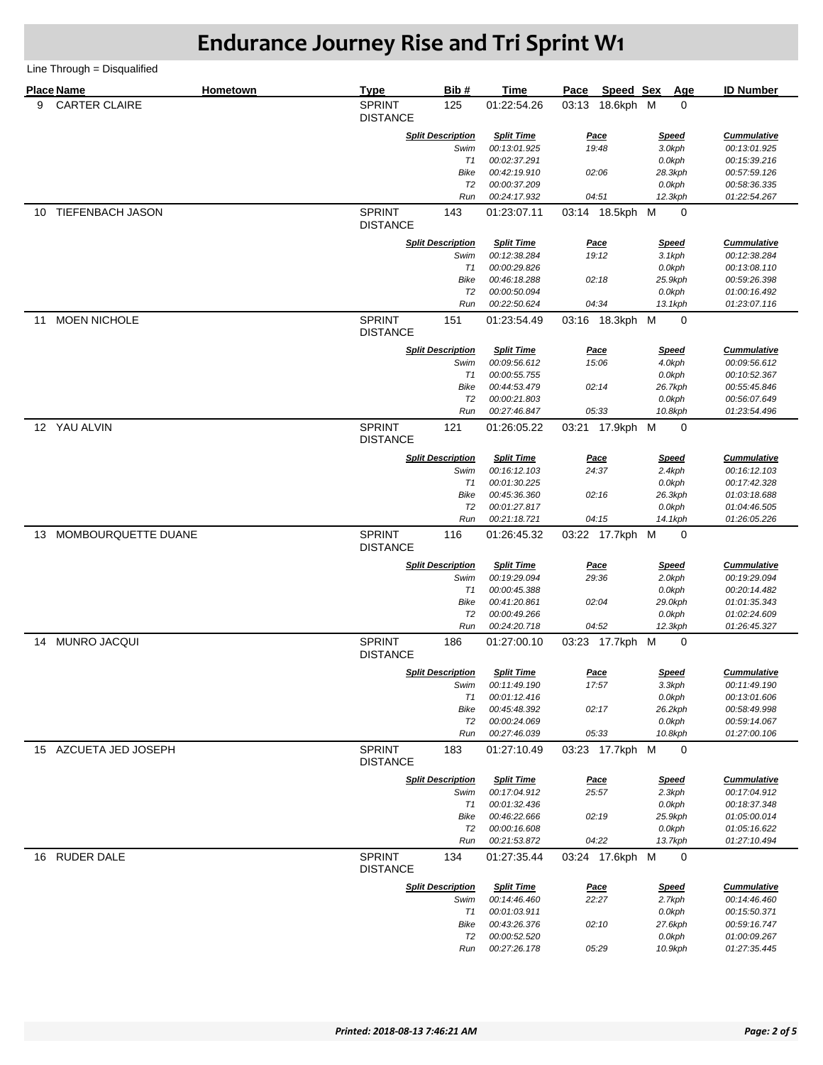|    | <b>Place Name</b>       | Hometown | <b>Type</b>                      | Bib#                     | <b>Time</b>                       | Pace                 | Speed Sex       | Age                    | <b>ID Number</b>                   |
|----|-------------------------|----------|----------------------------------|--------------------------|-----------------------------------|----------------------|-----------------|------------------------|------------------------------------|
| 9  | <b>CARTER CLAIRE</b>    |          | <b>SPRINT</b><br><b>DISTANCE</b> | 125                      | 01:22:54.26                       |                      | 03:13 18.6kph M | 0                      |                                    |
|    |                         |          | <b>Split Description</b>         |                          | <b>Split Time</b>                 | <u>Pace</u>          |                 | <b>Speed</b>           | <b>Cummulative</b>                 |
|    |                         |          |                                  | Swim                     | 00:13:01.925                      | 19:48                |                 | 3.0kph                 | 00:13:01.925                       |
|    |                         |          |                                  | T1                       | 00:02:37.291                      |                      |                 | 0.0kph                 | 00:15:39.216                       |
|    |                         |          |                                  | Bike                     | 00:42:19.910                      | 02:06                |                 | 28.3kph                | 00:57:59.126                       |
|    |                         |          |                                  | T2<br>Run                | 00:00:37.209<br>00:24:17.932      | 04:51                |                 | 0.0kph<br>12.3kph      | 00:58:36.335<br>01:22:54.267       |
| 10 | <b>TIEFENBACH JASON</b> |          | <b>SPRINT</b><br><b>DISTANCE</b> | 143                      | 01:23:07.11                       |                      | 03:14 18.5kph M | $\mathbf 0$            |                                    |
|    |                         |          |                                  |                          |                                   |                      |                 |                        |                                    |
|    |                         |          |                                  | <b>Split Description</b> | <b>Split Time</b>                 | <u>Pace</u>          |                 | <b>Speed</b>           | <b>Cummulative</b>                 |
|    |                         |          |                                  | Swim<br>T1               | 00:12:38.284<br>00:00:29.826      | 19:12                |                 | 3.1kph<br>0.0kph       | 00:12:38.284<br>00:13:08.110       |
|    |                         |          |                                  | <b>Bike</b>              | 00:46:18.288                      | 02:18                |                 | 25.9kph                | 00:59:26.398                       |
|    |                         |          |                                  | T <sub>2</sub>           | 00:00:50.094                      |                      |                 | 0.0kph                 | 01:00:16.492                       |
|    |                         |          |                                  | Run                      | 00:22:50.624                      | 04:34                |                 | 13.1kph                | 01:23:07.116                       |
| 11 | <b>MOEN NICHOLE</b>     |          | <b>SPRINT</b><br><b>DISTANCE</b> | 151                      | 01:23:54.49                       |                      | 03:16 18.3kph M | 0                      |                                    |
|    |                         |          |                                  | <b>Split Description</b> | <b>Split Time</b>                 | <u>Pace</u>          |                 | <b>Speed</b>           | <b>Cummulative</b>                 |
|    |                         |          |                                  | Swim                     | 00:09:56.612                      | 15:06                |                 | 4.0kph                 | 00:09:56.612                       |
|    |                         |          |                                  | T1                       | 00:00:55.755                      |                      |                 | 0.0kph                 | 00:10:52.367                       |
|    |                         |          |                                  | Bike                     | 00:44:53.479                      | 02:14                |                 | 26.7kph                | 00:55:45.846                       |
|    |                         |          |                                  | T2                       | 00:00:21.803                      |                      |                 | 0.0kph                 | 00:56:07.649                       |
|    |                         |          |                                  | Run                      | 00:27:46.847                      | 05:33                |                 | 10.8kph                | 01:23:54.496                       |
|    | 12 YAU ALVIN            |          | <b>SPRINT</b><br><b>DISTANCE</b> | 121                      | 01:26:05.22                       |                      | 03:21 17.9kph M | 0                      |                                    |
|    |                         |          |                                  | <b>Split Description</b> | <b>Split Time</b>                 | Pace                 |                 | <b>Speed</b>           | <b>Cummulative</b>                 |
|    |                         |          |                                  | Swim                     | 00:16:12.103                      | 24:37                |                 | 2.4kph                 | 00:16:12.103                       |
|    |                         |          |                                  | T1                       | 00:01:30.225                      |                      |                 | 0.0kph                 | 00:17:42.328                       |
|    |                         |          |                                  | Bike<br>T2               | 00:45:36.360<br>00:01:27.817      | 02:16                |                 | 26.3kph<br>0.0kph      | 01:03:18.688<br>01:04:46.505       |
|    |                         |          |                                  | Run                      | 00:21:18.721                      | 04:15                |                 | 14.1kph                | 01:26:05.226                       |
| 13 | MOMBOURQUETTE DUANE     |          | <b>SPRINT</b><br><b>DISTANCE</b> | 116                      | 01:26:45.32                       |                      | 03:22 17.7kph M | $\mathbf 0$            |                                    |
|    |                         |          |                                  | <b>Split Description</b> | <b>Split Time</b>                 | Pace                 |                 | <b>Speed</b>           | <b>Cummulative</b>                 |
|    |                         |          |                                  | Swim                     | 00:19:29.094                      | 29:36                |                 | 2.0kph                 | 00:19:29.094                       |
|    |                         |          |                                  | T1                       | 00:00:45.388                      |                      |                 | 0.0kph                 | 00:20:14.482                       |
|    |                         |          |                                  | Bike                     | 00:41:20.861                      | 02:04                |                 | 29.0kph                | 01:01:35.343                       |
|    |                         |          |                                  | T2                       | 00:00:49.266                      |                      |                 | 0.0kph                 | 01:02:24.609                       |
|    |                         |          |                                  | Run                      | 00:24:20.718                      | 04:52                |                 | 12.3kph                | 01:26:45.327                       |
| 14 | <b>MUNRO JACQUI</b>     |          | <b>SPRINT</b><br><b>DISTANCE</b> | 186                      | 01:27:00.10                       |                      | 03:23 17.7kph M | 0                      |                                    |
|    |                         |          |                                  | <b>Split Description</b> | <b>Split Time</b>                 | <u>Pace</u>          |                 | <u>Speed</u>           | <b>Cummulative</b>                 |
|    |                         |          |                                  | Swim                     | 00:11:49.190                      | 17:57                |                 | 3.3kph                 | 00:11:49.190                       |
|    |                         |          |                                  | T1                       | 00:01:12.416                      |                      |                 | 0.0kph                 | 00:13:01.606                       |
|    |                         |          |                                  | Bike<br>T <sub>2</sub>   | 00:45:48.392<br>00:00:24.069      | 02:17                |                 | 26.2kph<br>0.0kph      | 00:58:49.998<br>00:59:14.067       |
|    |                         |          |                                  | Run                      | 00:27:46.039                      | 05:33                |                 | 10.8kph                | 01:27:00.106                       |
| 15 | AZCUETA JED JOSEPH      |          | <b>SPRINT</b><br><b>DISTANCE</b> | 183                      | 01:27:10.49                       |                      | 03:23 17.7kph M | 0                      |                                    |
|    |                         |          |                                  | <b>Split Description</b> |                                   |                      |                 |                        |                                    |
|    |                         |          |                                  | Swim                     | <b>Split Time</b><br>00:17:04.912 | <u>Pace</u><br>25:57 |                 | <b>Speed</b><br>2.3kph | <b>Cummulative</b><br>00:17:04.912 |
|    |                         |          |                                  | T1                       | 00:01:32.436                      |                      |                 | 0.0kph                 | 00:18:37.348                       |
|    |                         |          |                                  | Bike                     | 00:46:22.666                      | 02:19                |                 | 25.9kph                | 01:05:00.014                       |
|    |                         |          |                                  | T2                       | 00:00:16.608                      |                      |                 | 0.0kph                 | 01:05:16.622                       |
|    |                         |          |                                  | Run                      | 00:21:53.872                      | 04:22                |                 | 13.7kph                | 01:27:10.494                       |
|    | 16 RUDER DALE           |          | <b>SPRINT</b><br><b>DISTANCE</b> | 134                      | 01:27:35.44                       |                      | 03:24 17.6kph M | 0                      |                                    |
|    |                         |          |                                  | <b>Split Description</b> | <b>Split Time</b>                 | Pace                 |                 | <b>Speed</b>           | <b>Cummulative</b>                 |
|    |                         |          |                                  | Swim                     | 00:14:46.460                      | 22:27                |                 | 2.7kph                 | 00:14:46.460                       |
|    |                         |          |                                  | T1                       | 00:01:03.911                      |                      |                 | 0.0kph                 | 00:15:50.371                       |
|    |                         |          |                                  | Bike                     | 00:43:26.376                      | 02:10                |                 | 27.6kph                | 00:59:16.747                       |
|    |                         |          |                                  | T2                       | 00:00:52.520                      |                      |                 | 0.0kph                 | 01:00:09.267                       |
|    |                         |          |                                  | Run                      | 00:27:26.178                      | 05:29                |                 | 10.9kph                | 01:27:35.445                       |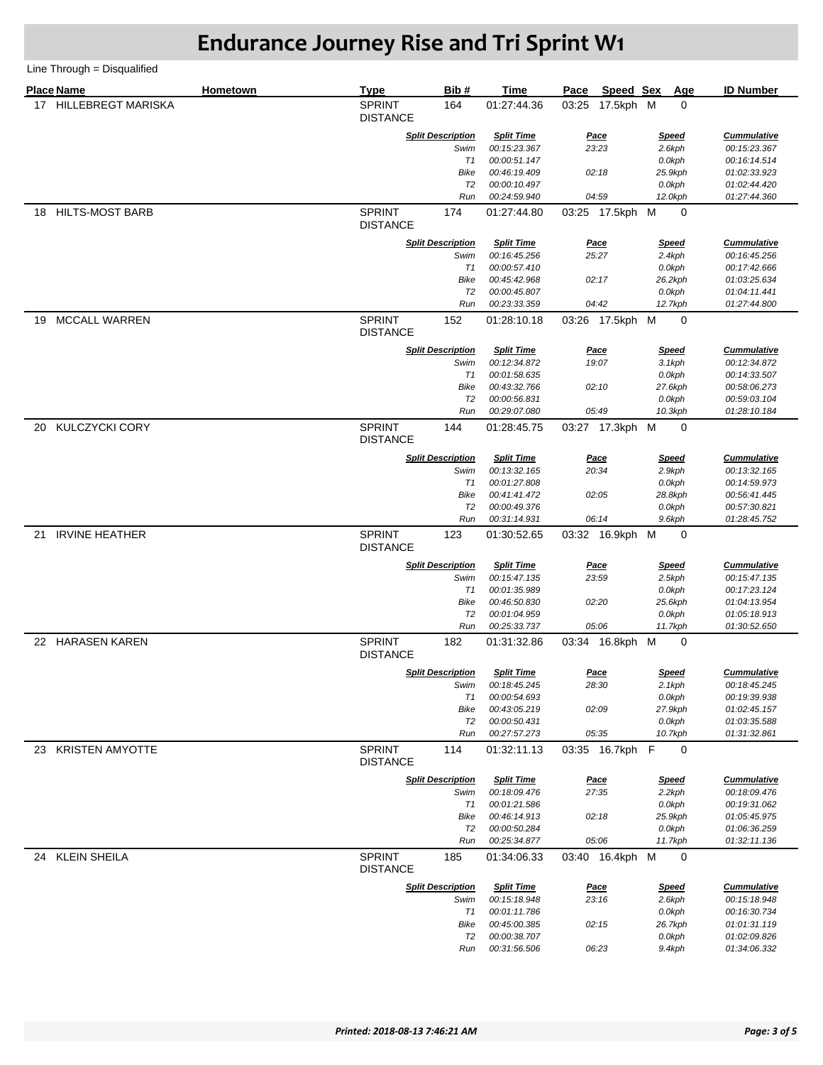|    | <b>Place Name</b>      | Hometown | <b>Type</b>                      | Bib#                             | <b>Time</b>                       | Pace  | Speed Sex            | Age                    | <b>ID Number</b>                   |
|----|------------------------|----------|----------------------------------|----------------------------------|-----------------------------------|-------|----------------------|------------------------|------------------------------------|
|    | 17 HILLEBREGT MARISKA  |          | <b>SPRINT</b><br><b>DISTANCE</b> | 164                              | 01:27:44.36                       | 03:25 | 17.5kph M            | 0                      |                                    |
|    |                        |          |                                  | <b>Split Description</b>         | <b>Split Time</b>                 |       | <b>Pace</b>          | <u>Speed</u>           | <b>Cummulative</b>                 |
|    |                        |          |                                  | Swim                             | 00:15:23.367                      |       | 23:23                | 2.6kph                 | 00:15:23.367                       |
|    |                        |          |                                  | T1                               | 00:00:51.147                      |       |                      | 0.0kph                 | 00:16:14.514                       |
|    |                        |          |                                  | Bike<br>T2                       | 00:46:19.409<br>00:00:10.497      |       | 02:18                | 25.9kph                | 01:02:33.923<br>01:02:44.420       |
|    |                        |          |                                  | Run                              | 00:24:59.940                      |       | 04:59                | 0.0kph<br>12.0kph      | 01:27:44.360                       |
| 18 | <b>HILTS-MOST BARB</b> |          | <b>SPRINT</b><br><b>DISTANCE</b> | 174                              | 01:27:44.80                       |       | 03:25 17.5kph M      | $\mathbf 0$            |                                    |
|    |                        |          |                                  |                                  |                                   |       |                      |                        |                                    |
|    |                        |          |                                  | <b>Split Description</b><br>Swim | <b>Split Time</b><br>00:16:45.256 |       | Pace<br>25:27        | <u>Speed</u><br>2.4kph | <b>Cummulative</b><br>00:16:45.256 |
|    |                        |          |                                  | T1                               | 00:00:57.410                      |       |                      | 0.0kph                 | 00:17:42.666                       |
|    |                        |          |                                  | Bike                             | 00:45:42.968                      |       | 02:17                | 26.2kph                | 01:03:25.634                       |
|    |                        |          |                                  | T2                               | 00:00:45.807                      |       |                      | 0.0kph                 | 01:04:11.441                       |
|    |                        |          |                                  | Run                              | 00:23:33.359                      |       | 04:42                | 12.7kph                | 01:27:44.800                       |
| 19 | <b>MCCALL WARREN</b>   |          | <b>SPRINT</b><br><b>DISTANCE</b> | 152                              | 01:28:10.18                       |       | 03:26 17.5kph M      | 0                      |                                    |
|    |                        |          |                                  | <b>Split Description</b>         | <b>Split Time</b>                 |       | <u>Pace</u>          | <b>Speed</b>           | <b>Cummulative</b>                 |
|    |                        |          |                                  | Swim                             | 00:12:34.872                      |       | 19:07                | 3.1kph                 | 00:12:34.872                       |
|    |                        |          |                                  | T1                               | 00:01:58.635                      |       |                      | 0.0kph                 | 00:14:33.507                       |
|    |                        |          |                                  | Bike<br>T <sub>2</sub>           | 00:43:32.766<br>00:00:56.831      |       | 02:10                | 27.6kph                | 00:58:06.273                       |
|    |                        |          |                                  | Run                              | 00:29:07.080                      |       | 05:49                | 0.0kph<br>10.3kph      | 00:59:03.104<br>01:28:10.184       |
| 20 | <b>KULCZYCKI CORY</b>  |          | <b>SPRINT</b>                    | 144                              | 01:28:45.75                       |       | 03:27 17.3kph M      | 0                      |                                    |
|    |                        |          | <b>DISTANCE</b>                  |                                  |                                   |       |                      |                        |                                    |
|    |                        |          |                                  | <b>Split Description</b>         | <b>Split Time</b>                 |       | <u>Pace</u>          | <u>Speed</u>           | <b>Cummulative</b>                 |
|    |                        |          |                                  | Swim                             | 00:13:32.165                      |       | 20:34                | 2.9kph                 | 00:13:32.165                       |
|    |                        |          |                                  | T1<br>Bike                       | 00:01:27.808<br>00:41:41.472      |       | 02:05                | 0.0kph<br>28.8kph      | 00:14:59.973<br>00:56:41.445       |
|    |                        |          |                                  | T2                               | 00:00:49.376                      |       |                      | 0.0kph                 | 00:57:30.821                       |
|    |                        |          |                                  | Run                              | 00:31:14.931                      |       | 06:14                | 9.6kph                 | 01:28:45.752                       |
| 21 | <b>IRVINE HEATHER</b>  |          | <b>SPRINT</b><br><b>DISTANCE</b> | 123                              | 01:30:52.65                       |       | 03:32 16.9kph M      | 0                      |                                    |
|    |                        |          |                                  | <b>Split Description</b>         | <b>Split Time</b>                 |       | <u>Pace</u>          | <b>Speed</b>           | <b>Cummulative</b>                 |
|    |                        |          |                                  | Swim                             | 00:15:47.135                      |       | 23:59                | 2.5kph                 | 00:15:47.135                       |
|    |                        |          |                                  | T1                               | 00:01:35.989                      |       |                      | 0.0kph                 | 00:17:23.124                       |
|    |                        |          |                                  | Bike                             | 00:46:50.830                      |       | 02:20                | 25.6kph                | 01:04:13.954                       |
|    |                        |          |                                  | T2<br>Run                        | 00:01:04.959                      |       | 05:06                | 0.0kph                 | 01:05:18.913<br>01:30:52.650       |
| 22 | <b>HARASEN KAREN</b>   |          | <b>SPRINT</b>                    | 182                              | 00:25:33.737<br>01:31:32.86       |       | 03:34 16.8kph M      | 11.7kph<br>0           |                                    |
|    |                        |          | <b>DISTANCE</b>                  |                                  |                                   |       |                      |                        |                                    |
|    |                        |          |                                  | <b>Split Description</b><br>Swim | <b>Split Time</b><br>00:18:45.245 |       | <b>Pace</b><br>28:30 | <b>Speed</b><br>2.1kph | <b>Cummulative</b><br>00:18:45.245 |
|    |                        |          |                                  | T1                               | 00:00:54.693                      |       |                      | 0.0kph                 | 00:19:39.938                       |
|    |                        |          |                                  | Bike                             | 00:43:05.219                      |       | 02:09                | 27.9kph                | 01:02:45.157                       |
|    |                        |          |                                  | T <sub>2</sub>                   | 00:00:50.431                      |       |                      | 0.0kph                 | 01:03:35.588                       |
|    |                        |          |                                  | Run                              | 00:27:57.273                      |       | 05:35                | 10.7kph                | 01:31:32.861                       |
|    | 23 KRISTEN AMYOTTE     |          | <b>SPRINT</b><br><b>DISTANCE</b> | 114                              | 01:32:11.13                       |       | 03:35 16.7kph F      | 0                      |                                    |
|    |                        |          |                                  | <b>Split Description</b>         | <b>Split Time</b>                 |       | Pace                 | <u>Speed</u>           | <b>Cummulative</b>                 |
|    |                        |          |                                  | Swim                             | 00:18:09.476                      |       | 27:35                | 2.2kph                 | 00:18:09.476                       |
|    |                        |          |                                  | T1                               | 00:01:21.586                      |       |                      | 0.0kph                 | 00:19:31.062                       |
|    |                        |          |                                  | Bike                             | 00:46:14.913                      |       | 02:18                | 25.9kph                | 01:05:45.975                       |
|    |                        |          |                                  | T2<br>Run                        | 00:00:50.284<br>00:25:34.877      |       | 05:06                | 0.0kph<br>11.7kph      | 01:06:36.259<br>01:32:11.136       |
|    | 24 KLEIN SHEILA        |          | <b>SPRINT</b>                    | 185                              | 01:34:06.33                       |       | 03:40 16.4kph M      | 0                      |                                    |
|    |                        |          | <b>DISTANCE</b>                  |                                  |                                   |       |                      |                        |                                    |
|    |                        |          |                                  | <b>Split Description</b>         | <b>Split Time</b>                 |       | Pace                 | <b>Speed</b>           | <b>Cummulative</b>                 |
|    |                        |          |                                  | Swim<br>T1                       | 00:15:18.948<br>00:01:11.786      |       | 23:16                | 2.6kph<br>0.0kph       | 00:15:18.948<br>00:16:30.734       |
|    |                        |          |                                  | Bike                             | 00:45:00.385                      |       | 02:15                | 26.7kph                | 01:01:31.119                       |
|    |                        |          |                                  | T2                               | 00:00:38.707                      |       |                      | 0.0kph                 | 01:02:09.826                       |
|    |                        |          |                                  | Run                              | 00:31:56.506                      |       | 06:23                | 9.4kph                 | 01:34:06.332                       |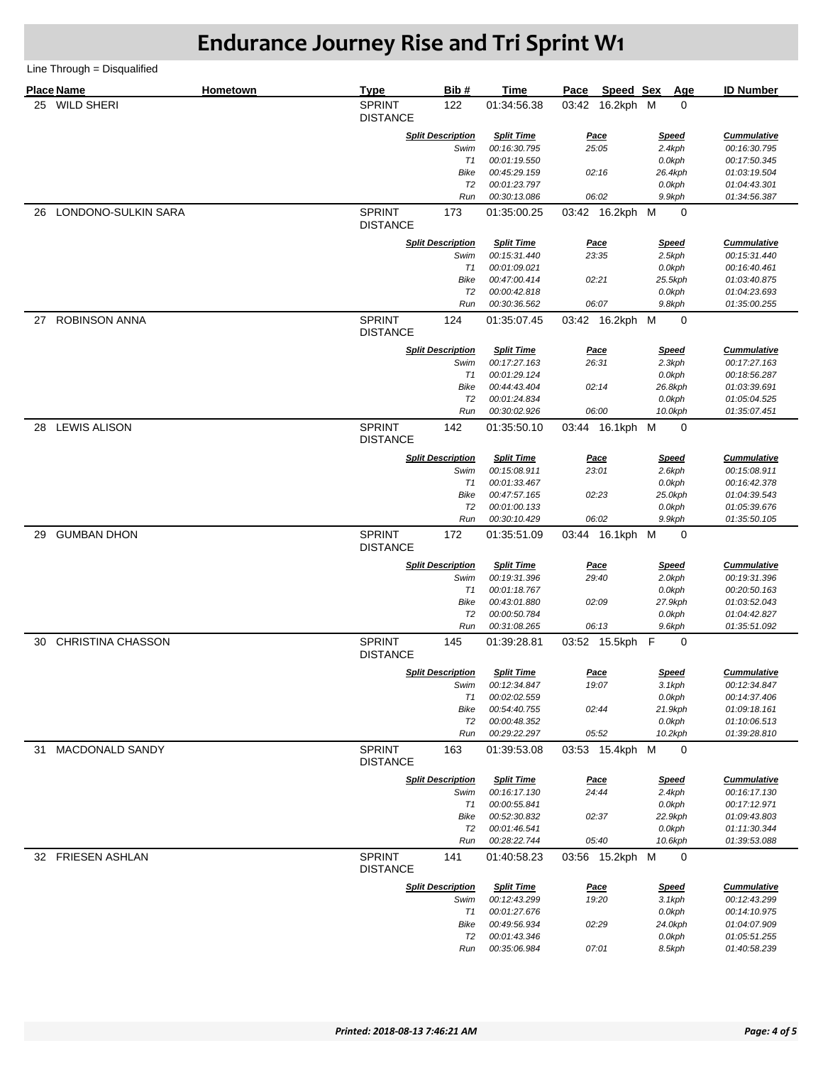|    | <b>Place Name</b>        | Hometown | <b>Type</b>                      | Bib#                     | <b>Time</b>                  | Pace  | Speed Sex              | Age                                   | <b>ID Number</b>             |
|----|--------------------------|----------|----------------------------------|--------------------------|------------------------------|-------|------------------------|---------------------------------------|------------------------------|
| 25 | <b>WILD SHERI</b>        |          | <b>SPRINT</b><br><b>DISTANCE</b> | 122                      | 01:34:56.38                  |       | 03:42 16.2kph M        | 0                                     |                              |
|    |                          |          |                                  | <b>Split Description</b> | <b>Split Time</b>            |       | <u>Pace</u>            | <b>Speed</b>                          | <b>Cummulative</b>           |
|    |                          |          |                                  | Swim                     | 00:16:30.795                 |       | 25:05                  | 2.4kph                                | 00:16:30.795                 |
|    |                          |          |                                  | T1                       | 00:01:19.550                 |       |                        | 0.0kph                                | 00:17:50.345                 |
|    |                          |          |                                  | Bike                     | 00:45:29.159                 |       | 02:16                  | 26.4kph                               | 01:03:19.504                 |
|    |                          |          |                                  | T <sub>2</sub>           | 00:01:23.797                 |       |                        | 0.0kph                                | 01:04:43.301                 |
|    |                          |          |                                  | Run                      | 00:30:13.086                 |       | 06:02                  | 9.9kph                                | 01:34:56.387                 |
| 26 | LONDONO-SULKIN SARA      |          | <b>SPRINT</b><br><b>DISTANCE</b> | 173                      | 01:35:00.25                  |       | 03:42 16.2kph M        | $\mathbf 0$                           |                              |
|    |                          |          |                                  | <b>Split Description</b> | <b>Split Time</b>            |       | Pace                   | <b>Speed</b>                          | <b>Cummulative</b>           |
|    |                          |          |                                  | Swim                     | 00:15:31.440                 |       | 23:35                  | 2.5kph                                | 00:15:31.440                 |
|    |                          |          |                                  | T1                       | 00:01:09.021                 |       |                        | 0.0kph                                | 00:16:40.461                 |
|    |                          |          |                                  | <b>Bike</b>              | 00:47:00.414                 | 02:21 |                        | 25.5kph                               | 01:03:40.875                 |
|    |                          |          |                                  | T <sub>2</sub><br>Run    | 00:00:42.818<br>00:30:36.562 |       | 06:07                  | 0.0kph<br>9.8kph                      | 01:04:23.693<br>01:35:00.255 |
|    |                          |          |                                  |                          |                              |       |                        |                                       |                              |
| 27 | <b>ROBINSON ANNA</b>     |          | <b>SPRINT</b><br><b>DISTANCE</b> | 124                      | 01:35:07.45                  |       | 03:42 16.2kph M        | 0                                     |                              |
|    |                          |          |                                  | <b>Split Description</b> | <b>Split Time</b>            |       | <u>Pace</u>            | <b>Speed</b>                          | <b>Cummulative</b>           |
|    |                          |          |                                  | Swim                     | 00:17:27.163                 | 26:31 |                        | 2.3kph                                | 00:17:27.163                 |
|    |                          |          |                                  | T1                       | 00:01:29.124                 |       |                        | 0.0kph                                | 00:18:56.287                 |
|    |                          |          |                                  | Bike                     | 00:44:43.404                 |       | 02:14                  | 26.8kph                               | 01:03:39.691                 |
|    |                          |          |                                  | T2<br>Run                | 00:01:24.834<br>00:30:02.926 |       | 06:00                  | 0.0kph<br>10.0kph                     | 01:05:04.525<br>01:35:07.451 |
|    |                          |          |                                  |                          |                              |       |                        |                                       |                              |
| 28 | <b>LEWIS ALISON</b>      |          | <b>SPRINT</b><br><b>DISTANCE</b> | 142                      | 01:35:50.10                  |       | 03:44 16.1kph M        | 0                                     |                              |
|    |                          |          |                                  | <b>Split Description</b> | <b>Split Time</b>            |       | <u>Pace</u>            | <b>Speed</b>                          | <b>Cummulative</b>           |
|    |                          |          |                                  | Swim                     | 00:15:08.911                 | 23:01 |                        | 2.6kph                                | 00:15:08.911                 |
|    |                          |          |                                  | T1                       | 00:01:33.467                 |       |                        | 0.0kph                                | 00:16:42.378                 |
|    |                          |          |                                  | Bike                     | 00:47:57.165                 |       | 02:23                  | 25.0kph                               | 01:04:39.543                 |
|    |                          |          |                                  | T2<br>Run                | 00:01:00.133                 |       | 06:02                  | 0.0kph                                | 01:05:39.676                 |
|    |                          |          |                                  |                          | 00:30:10.429                 |       |                        | 9.9kph                                | 01:35:50.105                 |
| 29 | <b>GUMBAN DHON</b>       |          | <b>SPRINT</b><br><b>DISTANCE</b> | 172                      | 01:35:51.09                  |       | 03:44 16.1kph M        | $\mathbf 0$                           |                              |
|    |                          |          |                                  | <b>Split Description</b> | <b>Split Time</b>            |       | Pace                   | <b>Speed</b>                          | <b>Cummulative</b>           |
|    |                          |          |                                  | Swim                     | 00:19:31.396                 |       | 29:40                  | 2.0kph                                | 00:19:31.396                 |
|    |                          |          |                                  | T1                       | 00:01:18.767                 |       |                        | 0.0kph                                | 00:20:50.163                 |
|    |                          |          |                                  | Bike                     | 00:43:01.880                 |       | 02:09                  | 27.9kph                               | 01:03:52.043                 |
|    |                          |          |                                  | T <sub>2</sub>           | 00:00:50.784                 |       |                        | 0.0kph                                | 01:04:42.827                 |
| 30 | <b>CHRISTINA CHASSON</b> |          | <b>SPRINT</b>                    | Run<br>145               | 00:31:08.265<br>01:39:28.81  |       | 06:13<br>03:52 15.5kph | 9.6kph<br>$\mathsf{F}$<br>$\mathbf 0$ | 01:35:51.092                 |
|    |                          |          | <b>DISTANCE</b>                  |                          |                              |       |                        |                                       |                              |
|    |                          |          |                                  | <b>Split Description</b> | <b>Split Time</b>            |       | <u>Pace</u>            | <u>Speed</u>                          | <b>Cummulative</b>           |
|    |                          |          |                                  | Swim                     | 00:12:34.847                 |       | 19:07                  | 3.1kph                                | 00:12:34.847                 |
|    |                          |          |                                  | T1                       | 00:02:02.559                 |       |                        | 0.0kph                                | 00:14:37.406                 |
|    |                          |          |                                  | Bike<br>T <sub>2</sub>   | 00:54:40.755                 |       | 02:44                  | 21.9kph                               | 01:09:18.161                 |
|    |                          |          |                                  | Run                      | 00:00:48.352<br>00:29:22.297 |       | 05:52                  | 0.0kph<br>10.2kph                     | 01:10:06.513<br>01:39:28.810 |
|    |                          |          |                                  |                          |                              |       |                        |                                       |                              |
| 31 | <b>MACDONALD SANDY</b>   |          | <b>SPRINT</b><br><b>DISTANCE</b> | 163                      | 01:39:53.08                  |       | 03:53 15.4kph M        | 0                                     |                              |
|    |                          |          |                                  | <b>Split Description</b> | <b>Split Time</b>            |       | <u>Pace</u>            | <b>Speed</b>                          | <b>Cummulative</b>           |
|    |                          |          |                                  | Swim                     | 00:16:17.130                 |       | 24:44                  | 2.4kph                                | 00:16:17.130                 |
|    |                          |          |                                  | T1                       | 00:00:55.841                 |       |                        | 0.0kph                                | 00:17:12.971                 |
|    |                          |          |                                  | Bike                     | 00:52:30.832                 |       | 02:37                  | 22.9kph                               | 01:09:43.803                 |
|    |                          |          |                                  | T2<br>Run                | 00:01:46.541<br>00:28:22.744 |       | 05:40                  | 0.0kph<br>10.6kph                     | 01:11:30.344<br>01:39:53.088 |
|    |                          |          |                                  |                          |                              |       |                        |                                       |                              |
|    | 32 FRIESEN ASHLAN        |          | <b>SPRINT</b><br><b>DISTANCE</b> | 141                      | 01:40:58.23                  |       | 03:56 15.2kph M        | 0                                     |                              |
|    |                          |          |                                  | <b>Split Description</b> | <b>Split Time</b>            |       | Pace                   | <b>Speed</b>                          | <b>Cummulative</b>           |
|    |                          |          |                                  | Swim                     | 00:12:43.299                 |       | 19:20                  | 3.1kph                                | 00:12:43.299                 |
|    |                          |          |                                  | T1                       | 00:01:27.676                 |       |                        | 0.0kph                                | 00:14:10.975                 |
|    |                          |          |                                  | Bike                     | 00:49:56.934                 |       | 02:29                  | 24.0kph                               | 01:04:07.909                 |
|    |                          |          |                                  | T2<br>Run                | 00:01:43.346<br>00:35:06.984 |       | 07:01                  | 0.0kph<br>8.5kph                      | 01:05:51.255<br>01:40:58.239 |
|    |                          |          |                                  |                          |                              |       |                        |                                       |                              |